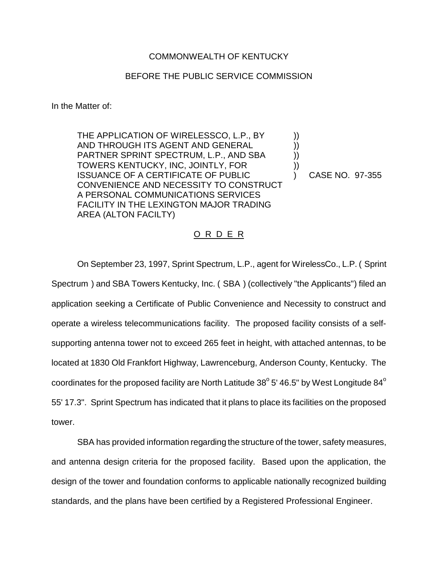## COMMONWEALTH OF KENTUCKY

## BEFORE THE PUBLIC SERVICE COMMISSION

In the Matter of:

THE APPLICATION OF WIRELESSCO, L.P., BY AND THROUGH ITS AGENT AND GENERAL PARTNER SPRINT SPECTRUM, L.P., AND SBA TOWERS KENTUCKY, INC, JOINTLY, FOR ISSUANCE OF A CERTIFICATE OF PUBLIC CONVENIENCE AND NECESSITY TO CONSTRUCT A PERSONAL COMMUNICATIONS SERVICES FACILITY IN THE LEXINGTON MAJOR TRADING AREA (ALTON FACILTY)

) CASE NO. 97-355

)) )) )) ))

## O R D E R

On September 23, 1997, Sprint Spectrum, L.P., agent for WirelessCo., L.P. ( Sprint Spectrum ) and SBA Towers Kentucky, Inc. ( SBA ) (collectively "the Applicants") filed an application seeking a Certificate of Public Convenience and Necessity to construct and operate a wireless telecommunications facility. The proposed facility consists of a selfsupporting antenna tower not to exceed 265 feet in height, with attached antennas, to be located at 1830 Old Frankfort Highway, Lawrenceburg, Anderson County, Kentucky. The coordinates for the proposed facility are North Latitude  $38^{\circ}$  5' 46.5" by West Longitude  $84^{\circ}$ 55' 17.3". Sprint Spectrum has indicated that it plans to place its facilities on the proposed tower.

SBA has provided information regarding the structure of the tower, safety measures, and antenna design criteria for the proposed facility. Based upon the application, the design of the tower and foundation conforms to applicable nationally recognized building standards, and the plans have been certified by a Registered Professional Engineer.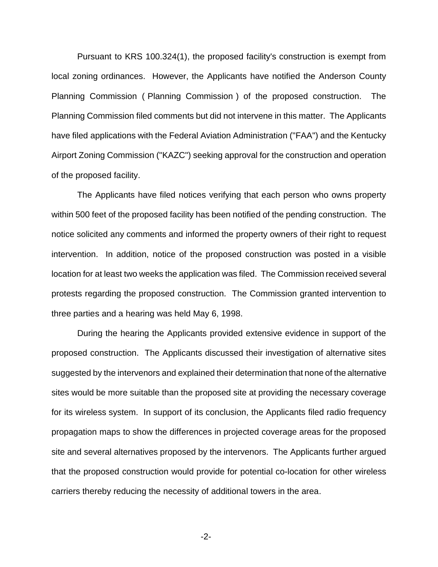Pursuant to KRS 100.324(1), the proposed facility's construction is exempt from local zoning ordinances. However, the Applicants have notified the Anderson County Planning Commission ( Planning Commission ) of the proposed construction. The Planning Commission filed comments but did not intervene in this matter. The Applicants have filed applications with the Federal Aviation Administration ("FAA") and the Kentucky Airport Zoning Commission ("KAZC") seeking approval for the construction and operation of the proposed facility.

The Applicants have filed notices verifying that each person who owns property within 500 feet of the proposed facility has been notified of the pending construction. The notice solicited any comments and informed the property owners of their right to request intervention. In addition, notice of the proposed construction was posted in a visible location for at least two weeks the application was filed. The Commission received several protests regarding the proposed construction. The Commission granted intervention to three parties and a hearing was held May 6, 1998.

During the hearing the Applicants provided extensive evidence in support of the proposed construction. The Applicants discussed their investigation of alternative sites suggested by the intervenors and explained their determination that none of the alternative sites would be more suitable than the proposed site at providing the necessary coverage for its wireless system. In support of its conclusion, the Applicants filed radio frequency propagation maps to show the differences in projected coverage areas for the proposed site and several alternatives proposed by the intervenors. The Applicants further argued that the proposed construction would provide for potential co-location for other wireless carriers thereby reducing the necessity of additional towers in the area.

-2-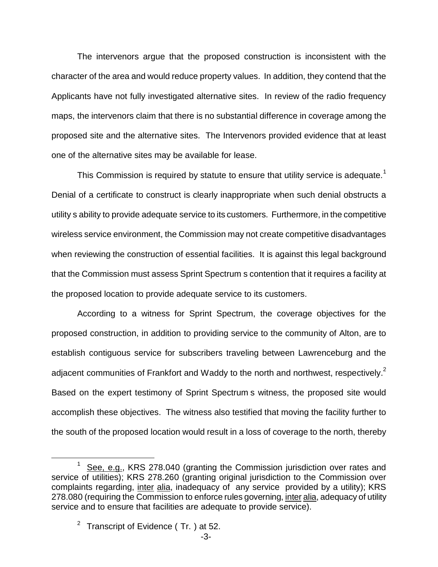The intervenors argue that the proposed construction is inconsistent with the character of the area and would reduce property values. In addition, they contend that the Applicants have not fully investigated alternative sites. In review of the radio frequency maps, the intervenors claim that there is no substantial difference in coverage among the proposed site and the alternative sites. The Intervenors provided evidence that at least one of the alternative sites may be available for lease.

This Commission is required by statute to ensure that utility service is adequate.<sup>1</sup> Denial of a certificate to construct is clearly inappropriate when such denial obstructs a utility s ability to provide adequate service to its customers. Furthermore, in the competitive wireless service environment, the Commission may not create competitive disadvantages when reviewing the construction of essential facilities. It is against this legal background that the Commission must assess Sprint Spectrum s contention that it requires a facility at the proposed location to provide adequate service to its customers.

According to a witness for Sprint Spectrum, the coverage objectives for the proposed construction, in addition to providing service to the community of Alton, are to establish contiguous service for subscribers traveling between Lawrenceburg and the adjacent communities of Frankfort and Waddy to the north and northwest, respectively.<sup>2</sup> Based on the expert testimony of Sprint Spectrum s witness, the proposed site would accomplish these objectives. The witness also testified that moving the facility further to the south of the proposed location would result in a loss of coverage to the north, thereby

See, e.g., KRS 278.040 (granting the Commission jurisdiction over rates and service of utilities); KRS 278.260 (granting original jurisdiction to the Commission over complaints regarding, inter alia, inadequacy of any service provided by a utility); KRS 278.080 (requiring the Commission to enforce rules governing, inter alia, adequacy of utility service and to ensure that facilities are adequate to provide service).

 $2$  Transcript of Evidence (Tr. ) at 52.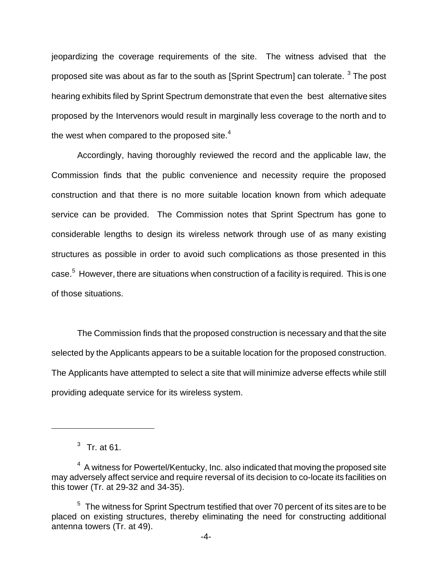jeopardizing the coverage requirements of the site. The witness advised that the proposed site was about as far to the south as  $[Sprint$  Spectrum] can tolerate.  $3$  The post hearing exhibits filed by Sprint Spectrum demonstrate that even the best alternative sites proposed by the Intervenors would result in marginally less coverage to the north and to the west when compared to the proposed site. $4$ 

Accordingly, having thoroughly reviewed the record and the applicable law, the Commission finds that the public convenience and necessity require the proposed construction and that there is no more suitable location known from which adequate service can be provided. The Commission notes that Sprint Spectrum has gone to considerable lengths to design its wireless network through use of as many existing structures as possible in order to avoid such complications as those presented in this case.<sup>5</sup> However, there are situations when construction of a facility is required. This is one of those situations.

The Commission finds that the proposed construction is necessary and that the site selected by the Applicants appears to be a suitable location for the proposed construction. The Applicants have attempted to select a site that will minimize adverse effects while still providing adequate service for its wireless system.

 $3$  Tr. at 61.

 $4\,$  A witness for Powertel/Kentucky, Inc. also indicated that moving the proposed site may adversely affect service and require reversal of its decision to co-locate its facilities on this tower (Tr. at 29-32 and 34-35).

 $5$  The witness for Sprint Spectrum testified that over 70 percent of its sites are to be placed on existing structures, thereby eliminating the need for constructing additional antenna towers (Tr. at 49).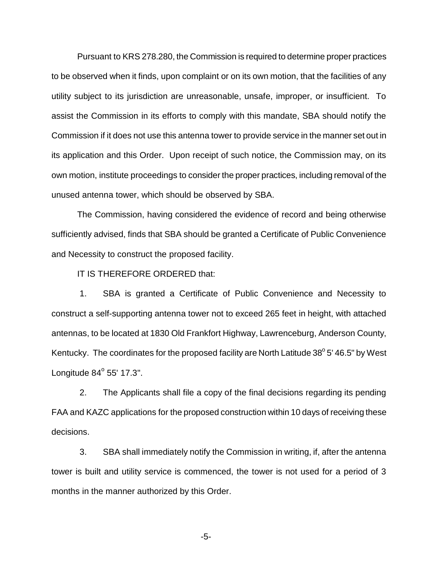Pursuant to KRS 278.280, the Commission is required to determine proper practices to be observed when it finds, upon complaint or on its own motion, that the facilities of any utility subject to its jurisdiction are unreasonable, unsafe, improper, or insufficient. To assist the Commission in its efforts to comply with this mandate, SBA should notify the Commission if it does not use this antenna tower to provide service in the manner set out in its application and this Order. Upon receipt of such notice, the Commission may, on its own motion, institute proceedings to consider the proper practices, including removal of the unused antenna tower, which should be observed by SBA.

The Commission, having considered the evidence of record and being otherwise sufficiently advised, finds that SBA should be granted a Certificate of Public Convenience and Necessity to construct the proposed facility.

IT IS THEREFORE ORDERED that:

1. SBA is granted a Certificate of Public Convenience and Necessity to construct a self-supporting antenna tower not to exceed 265 feet in height, with attached antennas, to be located at 1830 Old Frankfort Highway, Lawrenceburg, Anderson County, Kentucky. The coordinates for the proposed facility are North Latitude  $38^{\circ}$  5' 46.5" by West Longitude  $84^\circ$  55' 17.3".

2. The Applicants shall file a copy of the final decisions regarding its pending FAA and KAZC applications for the proposed construction within 10 days of receiving these decisions.

3. SBA shall immediately notify the Commission in writing, if, after the antenna tower is built and utility service is commenced, the tower is not used for a period of 3 months in the manner authorized by this Order.

-5-